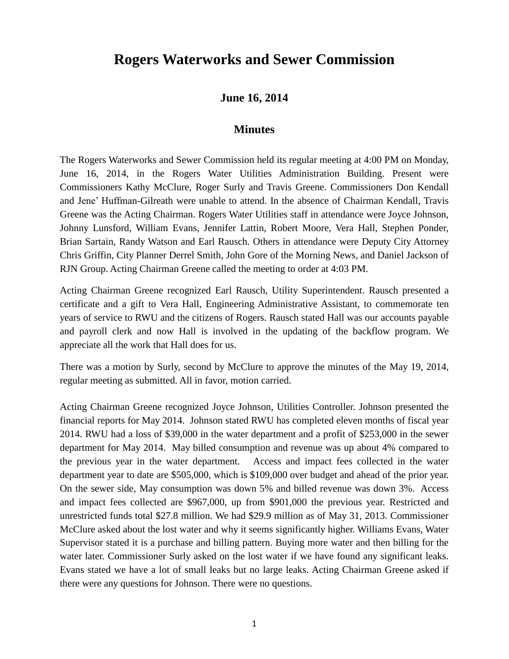## **Rogers Waterworks and Sewer Commission**

## **June 16, 2014**

## **Minutes**

The Rogers Waterworks and Sewer Commission held its regular meeting at 4:00 PM on Monday, June 16, 2014, in the Rogers Water Utilities Administration Building. Present were Commissioners Kathy McClure, Roger Surly and Travis Greene. Commissioners Don Kendall and Jene' Huffman-Gilreath were unable to attend. In the absence of Chairman Kendall, Travis Greene was the Acting Chairman. Rogers Water Utilities staff in attendance were Joyce Johnson, Johnny Lunsford, William Evans, Jennifer Lattin, Robert Moore, Vera Hall, Stephen Ponder, Brian Sartain, Randy Watson and Earl Rausch. Others in attendance were Deputy City Attorney Chris Griffin, City Planner Derrel Smith, John Gore of the Morning News, and Daniel Jackson of RJN Group. Acting Chairman Greene called the meeting to order at 4:03 PM.

Acting Chairman Greene recognized Earl Rausch, Utility Superintendent. Rausch presented a certificate and a gift to Vera Hall, Engineering Administrative Assistant, to commemorate ten years of service to RWU and the citizens of Rogers. Rausch stated Hall was our accounts payable and payroll clerk and now Hall is involved in the updating of the backflow program. We appreciate all the work that Hall does for us.

There was a motion by Surly, second by McClure to approve the minutes of the May 19, 2014, regular meeting as submitted. All in favor, motion carried.

Acting Chairman Greene recognized Joyce Johnson, Utilities Controller. Johnson presented the financial reports for May 2014. Johnson stated RWU has completed eleven months of fiscal year 2014. RWU had a loss of \$39,000 in the water department and a profit of \$253,000 in the sewer department for May 2014. May billed consumption and revenue was up about 4% compared to the previous year in the water department. Access and impact fees collected in the water department year to date are \$505,000, which is \$109,000 over budget and ahead of the prior year. On the sewer side, May consumption was down 5% and billed revenue was down 3%. Access and impact fees collected are \$967,000, up from \$901,000 the previous year. Restricted and unrestricted funds total \$27.8 million. We had \$29.9 million as of May 31, 2013. Commissioner McClure asked about the lost water and why it seems significantly higher. Williams Evans, Water Supervisor stated it is a purchase and billing pattern. Buying more water and then billing for the water later. Commissioner Surly asked on the lost water if we have found any significant leaks. Evans stated we have a lot of small leaks but no large leaks. Acting Chairman Greene asked if there were any questions for Johnson. There were no questions.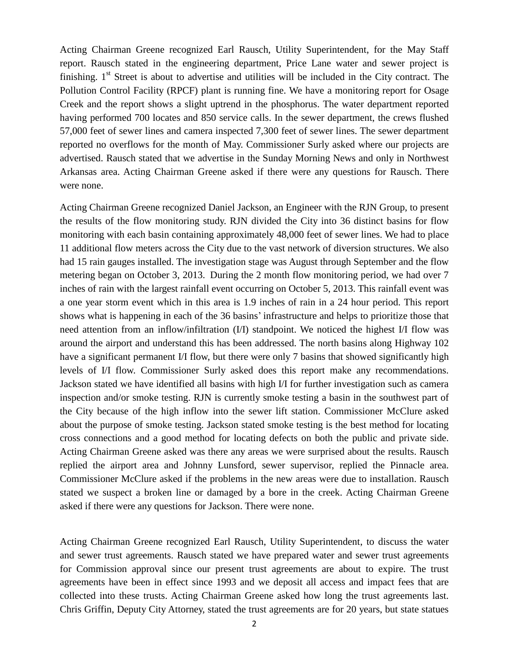Acting Chairman Greene recognized Earl Rausch, Utility Superintendent, for the May Staff report. Rausch stated in the engineering department, Price Lane water and sewer project is finishing.  $1<sup>st</sup>$  Street is about to advertise and utilities will be included in the City contract. The Pollution Control Facility (RPCF) plant is running fine. We have a monitoring report for Osage Creek and the report shows a slight uptrend in the phosphorus. The water department reported having performed 700 locates and 850 service calls. In the sewer department, the crews flushed 57,000 feet of sewer lines and camera inspected 7,300 feet of sewer lines. The sewer department reported no overflows for the month of May. Commissioner Surly asked where our projects are advertised. Rausch stated that we advertise in the Sunday Morning News and only in Northwest Arkansas area. Acting Chairman Greene asked if there were any questions for Rausch. There were none.

Acting Chairman Greene recognized Daniel Jackson, an Engineer with the RJN Group, to present the results of the flow monitoring study. RJN divided the City into 36 distinct basins for flow monitoring with each basin containing approximately 48,000 feet of sewer lines. We had to place 11 additional flow meters across the City due to the vast network of diversion structures. We also had 15 rain gauges installed. The investigation stage was August through September and the flow metering began on October 3, 2013. During the 2 month flow monitoring period, we had over 7 inches of rain with the largest rainfall event occurring on October 5, 2013. This rainfall event was a one year storm event which in this area is 1.9 inches of rain in a 24 hour period. This report shows what is happening in each of the 36 basins' infrastructure and helps to prioritize those that need attention from an inflow/infiltration (I/I) standpoint. We noticed the highest I/I flow was around the airport and understand this has been addressed. The north basins along Highway 102 have a significant permanent I/I flow, but there were only 7 basins that showed significantly high levels of I/I flow. Commissioner Surly asked does this report make any recommendations. Jackson stated we have identified all basins with high I/I for further investigation such as camera inspection and/or smoke testing. RJN is currently smoke testing a basin in the southwest part of the City because of the high inflow into the sewer lift station. Commissioner McClure asked about the purpose of smoke testing. Jackson stated smoke testing is the best method for locating cross connections and a good method for locating defects on both the public and private side. Acting Chairman Greene asked was there any areas we were surprised about the results. Rausch replied the airport area and Johnny Lunsford, sewer supervisor, replied the Pinnacle area. Commissioner McClure asked if the problems in the new areas were due to installation. Rausch stated we suspect a broken line or damaged by a bore in the creek. Acting Chairman Greene asked if there were any questions for Jackson. There were none.

Acting Chairman Greene recognized Earl Rausch, Utility Superintendent, to discuss the water and sewer trust agreements. Rausch stated we have prepared water and sewer trust agreements for Commission approval since our present trust agreements are about to expire. The trust agreements have been in effect since 1993 and we deposit all access and impact fees that are collected into these trusts. Acting Chairman Greene asked how long the trust agreements last. Chris Griffin, Deputy City Attorney, stated the trust agreements are for 20 years, but state statues